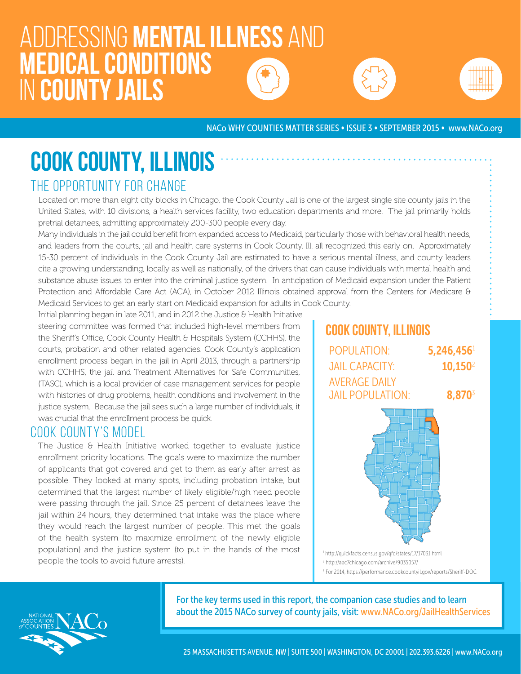# Addressing mental illness and medical conditions in county jails





NACo WHY COUNTIES MATTER SERIES • ISSUE 3 • SEPTEMBER 2015 • www.NACo.org

# COOK COUNTY, ILLINOIS

# THE OPPORTUNITY FOR CHANGE

Located on more than eight city blocks in Chicago, the Cook County Jail is one of the largest single site county jails in the United States, with 10 divisions, a health services facility, two education departments and more. The jail primarily holds pretrial detainees, admitting approximately 200-300 people every day.

Many individuals in the jail could benefit from expanded access to Medicaid, particularly those with behavioral health needs, and leaders from the courts, jail and health care systems in Cook County, Ill. all recognized this early on. Approximately 15-30 percent of individuals in the Cook County Jail are estimated to have a serious mental illness, and county leaders cite a growing understanding, locally as well as nationally, of the drivers that can cause individuals with mental health and substance abuse issues to enter into the criminal justice system. In anticipation of Medicaid expansion under the Patient Protection and Affordable Care Act (ACA), in October 2012 Illinois obtained approval from the Centers for Medicare & Medicaid Services to get an early start on Medicaid expansion for adults in Cook County.

Initial planning began in late 2011, and in 2012 the Justice & Health Initiative steering committee was formed that included high-level members from the Sheriff's Office, Cook County Health & Hospitals System (CCHHS), the courts, probation and other related agencies. Cook County's application enrollment process began in the jail in April 2013, through a partnership with CCHHS, the jail and Treatment Alternatives for Safe Communities, (TASC), which is a local provider of case management services for people with histories of drug problems, health conditions and involvement in the justice system. Because the jail sees such a large number of individuals, it was crucial that the enrollment process be quick.

#### COOK COUNTY'S MODEL

The Justice & Health Initiative worked together to evaluate justice enrollment priority locations. The goals were to maximize the number of applicants that got covered and get to them as early after arrest as possible. They looked at many spots, including probation intake, but determined that the largest number of likely eligible/high need people were passing through the jail. Since 25 percent of detainees leave the jail within 24 hours, they determined that intake was the place where they would reach the largest number of people. This met the goals of the health system (to maximize enrollment of the newly eligible population) and the justice system (to put in the hands of the most people the tools to avoid future arrests).

# Cook County, Illinois



3 For 2014, https://performance.cookcountyil.gov/reports/Sheriff-DOC

For the key terms used in this report, the companion case studies and to learn about the 2015 NACo survey of county jails, visit: www.NACo.org/JailHealthServices